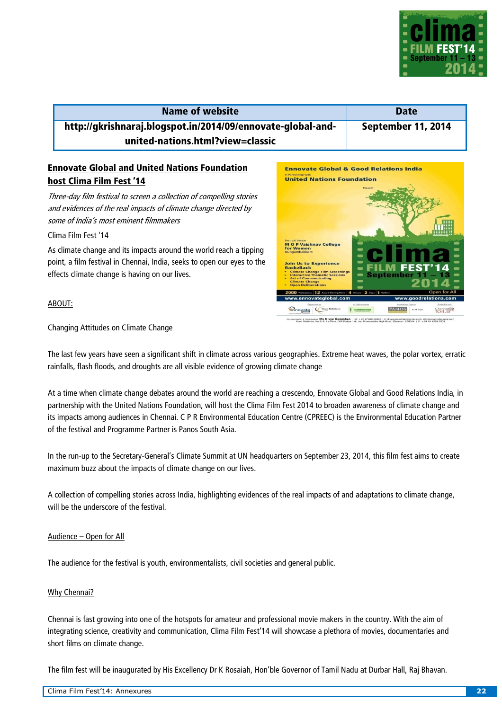

## **Name of website Date Date http://gkrishnaraj.blogspot.in/2014/09/ennovate-global-andunited-nations.html?view=classic September 11, 2014**

# **Ennovate Global and United Nations Foundation host Clima Film Fest '14**

Three-day film festival to screen a collection of compelling stories and evidences of the real impacts of climate change directed by some of India's most eminent filmmakers

### Clima Film Fest '14

As climate change and its impacts around the world reach a tipping point, a film festival in Chennai, India, seeks to open our eyes to the effects climate change is having on our lives.

### ABOUT:

Changing Attitudes on Climate Change

The last few years have seen a significant shift in climate across various geographies. Extreme heat waves, the polar vortex, erratic rainfalls, flash floods, and droughts are all visible evidence of growing climate change

At a time when climate change debates around the world are reaching a crescendo, Ennovate Global and Good Relations India, in partnership with the United Nations Foundation, will host the Clima Film Fest 2014 to broaden awareness of climate change and its impacts among audiences in Chennai. C P R Environmental Education Centre (CPREEC) is the Environmental Education Partner of the festival and Programme Partner is Panos South Asia.

In the run-up to the Secretary-General's Climate Summit at UN headquarters on September 23, 2014, this film fest aims to create maximum buzz about the impacts of climate change on our lives.

A collection of compelling stories across India, highlighting evidences of the real impacts of and adaptations to climate change, will be the underscore of the festival

#### Audience – Open for All

The audience for the festival is youth, environmentalists, civil societies and general public.

#### Why Chennai?

Chennai is fast growing into one of the hotspots for amateur and professional movie makers in the country. With the aim of integrating science, creativity and communication, Clima Film Fest'14 will showcase a plethora of movies, documentaries and short films on climate change.

The film fest will be inaugurated by His Excellency Dr K Rosaiah, Hon'ble Governor of Tamil Nadu at Durbar Hall, Raj Bhavan.

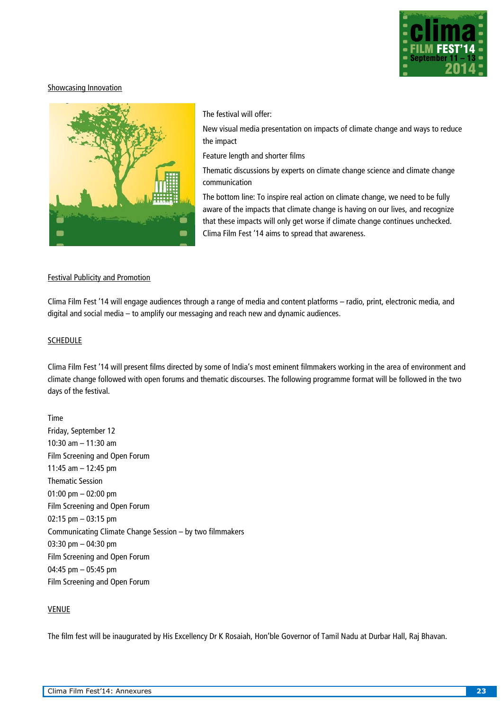

### Showcasing Innovation



#### The festival will offer:

• New visual media presentation on impacts of climate change and ways to reduce the impact

• Feature length and shorter films

Thematic discussions by experts on climate change science and climate change communication

The bottom line: To inspire real action on climate change, we need to be fully aware of the impacts that climate change is having on our lives, and recognize that these impacts will only get worse if climate change continues unchecked. Clima Film Fest '14 aims to spread that awareness.

#### Festival Publicity and Promotion

Clima Film Fest '14 will engage audiences through a range of media and content platforms – radio, print, electronic media, and digital and social media – to amplify our messaging and reach new and dynamic audiences.

#### SCHEDULE

Clima Film Fest '14 will present films directed by some of India's most eminent filmmakers working in the area of environment and climate change followed with open forums and thematic discourses. The following programme format will be followed in the two days of the festival.

Time Friday, September 12 10:30 am – 11:30 am Film Screening and Open Forum 11:45 am – 12:45 pm Thematic Session 01:00 pm – 02:00 pm Film Screening and Open Forum 02:15 pm – 03:15 pm Communicating Climate Change Session – by two filmmakers 03:30 pm – 04:30 pm Film Screening and Open Forum 04:45 pm – 05:45 pm Film Screening and Open Forum

### VENUE

The film fest will be inaugurated by His Excellency Dr K Rosaiah, Hon'ble Governor of Tamil Nadu at Durbar Hall, Raj Bhavan.